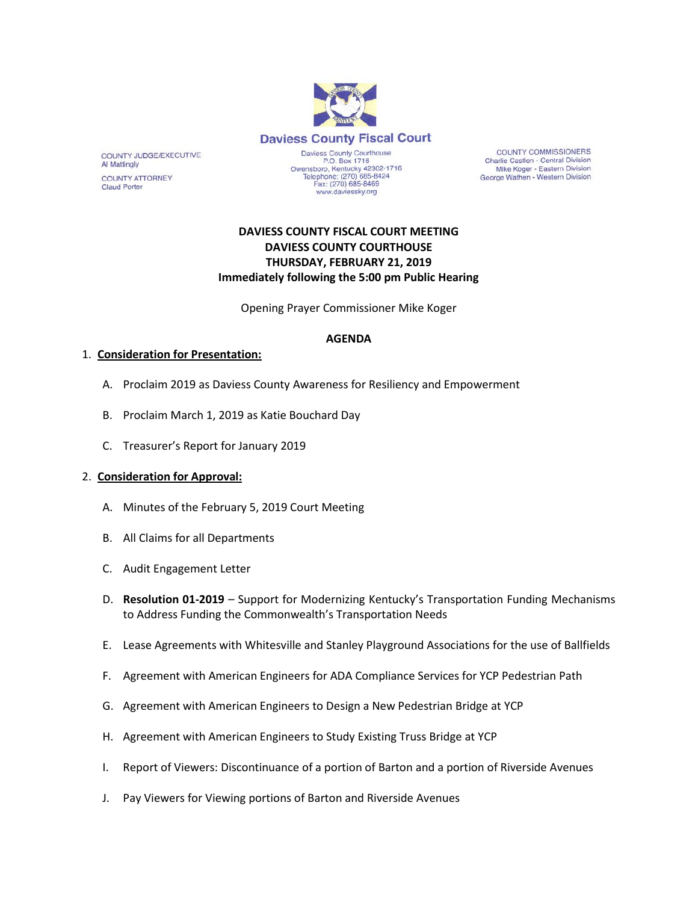

**COUNTY COMMISSIONERS** Charlie Castlen - Central Division Mike Koger - Eastern Division George Wathen - Western Division

## **DAVIESS COUNTY FISCAL COURT MEETING DAVIESS COUNTY COURTHOUSE THURSDAY, FEBRUARY 21, 2019 Immediately following the 5:00 pm Public Hearing**

Opening Prayer Commissioner Mike Koger

### **AGENDA**

### 1. **Consideration for Presentation:**

COUNTY JUDGE/EXECUTIVE

**COUNTY ATTORNEY** 

Al Mattingly

Claud Porter

- A. Proclaim 2019 as Daviess County Awareness for Resiliency and Empowerment
- B. Proclaim March 1, 2019 as Katie Bouchard Day
- C. Treasurer's Report for January 2019

#### 2. **Consideration for Approval:**

- A. Minutes of the February 5, 2019 Court Meeting
- B. All Claims for all Departments
- C. Audit Engagement Letter
- D. **Resolution 01-2019** Support for Modernizing Kentucky's Transportation Funding Mechanisms to Address Funding the Commonwealth's Transportation Needs
- E. Lease Agreements with Whitesville and Stanley Playground Associations for the use of Ballfields
- F. Agreement with American Engineers for ADA Compliance Services for YCP Pedestrian Path
- G. Agreement with American Engineers to Design a New Pedestrian Bridge at YCP
- H. Agreement with American Engineers to Study Existing Truss Bridge at YCP
- I. Report of Viewers: Discontinuance of a portion of Barton and a portion of Riverside Avenues
- J. Pay Viewers for Viewing portions of Barton and Riverside Avenues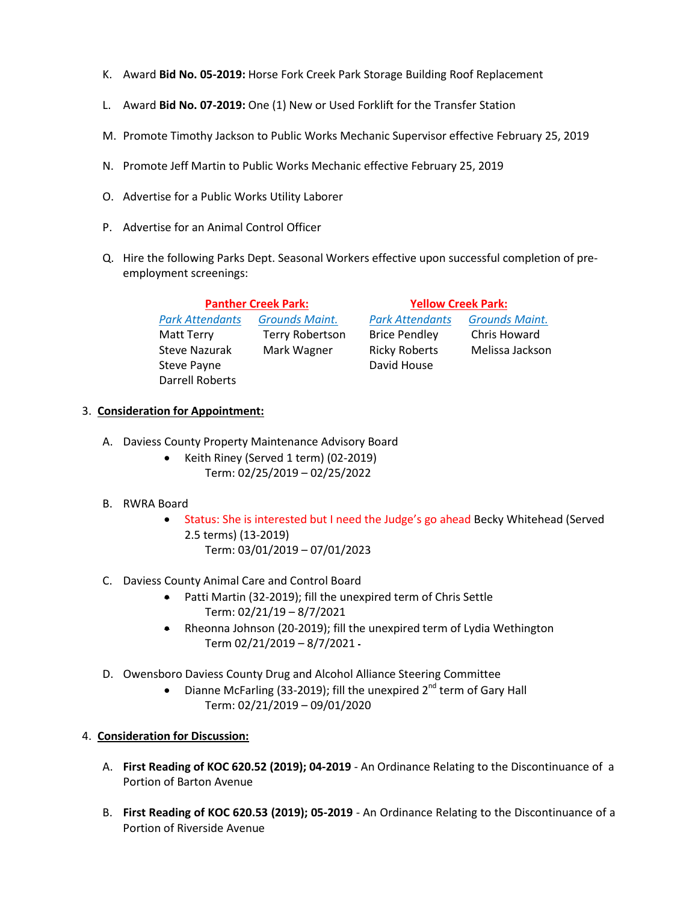- K. Award **Bid No. 05-2019:** Horse Fork Creek Park Storage Building Roof Replacement
- L. Award **Bid No. 07-2019:** One (1) New or Used Forklift for the Transfer Station
- M. Promote Timothy Jackson to Public Works Mechanic Supervisor effective February 25, 2019
- N. Promote Jeff Martin to Public Works Mechanic effective February 25, 2019
- O. Advertise for a Public Works Utility Laborer
- P. Advertise for an Animal Control Officer
- Q. Hire the following Parks Dept. Seasonal Workers effective upon successful completion of preemployment screenings:

| <b>Panther Creek Park:</b> |                        | <b>Yellow Creek Park:</b> |                       |
|----------------------------|------------------------|---------------------------|-----------------------|
| <b>Park Attendants</b>     | <b>Grounds Maint.</b>  | <b>Park Attendants</b>    | <b>Grounds Maint.</b> |
| <b>Matt Terry</b>          | <b>Terry Robertson</b> | <b>Brice Pendley</b>      | Chris Howard          |
| <b>Steve Nazurak</b>       | Mark Wagner            | <b>Ricky Roberts</b>      | Melissa Jackson       |
| Steve Payne                |                        | David House               |                       |
| Darrell Roberts            |                        |                           |                       |

## 3. **Consideration for Appointment:**

- A. Daviess County Property Maintenance Advisory Board
	- Keith Riney (Served 1 term) (02-2019) Term: 02/25/2019 – 02/25/2022
- B. RWRA Board
	- Status: She is interested but I need the Judge's go ahead Becky Whitehead (Served 2.5 terms) (13-2019) Term: 03/01/2019 – 07/01/2023
- C. Daviess County Animal Care and Control Board
	- Patti Martin (32-2019); fill the unexpired term of Chris Settle Term: 02/21/19 – 8/7/2021
	- Rheonna Johnson (20-2019); fill the unexpired term of Lydia Wethington Term 02/21/2019 – 8/7/2021
- D. Owensboro Daviess County Drug and Alcohol Alliance Steering Committee
	- Dianne McFarling (33-2019); fill the unexpired  $2^{nd}$  term of Garv Hall Term: 02/21/2019 – 09/01/2020

# 4. **Consideration for Discussion:**

- A. **First Reading of KOC 620.52 (2019); 04-2019**  An Ordinance Relating to the Discontinuance of a Portion of Barton Avenue
- B. **First Reading of KOC 620.53 (2019); 05-2019** An Ordinance Relating to the Discontinuance of a Portion of Riverside Avenue